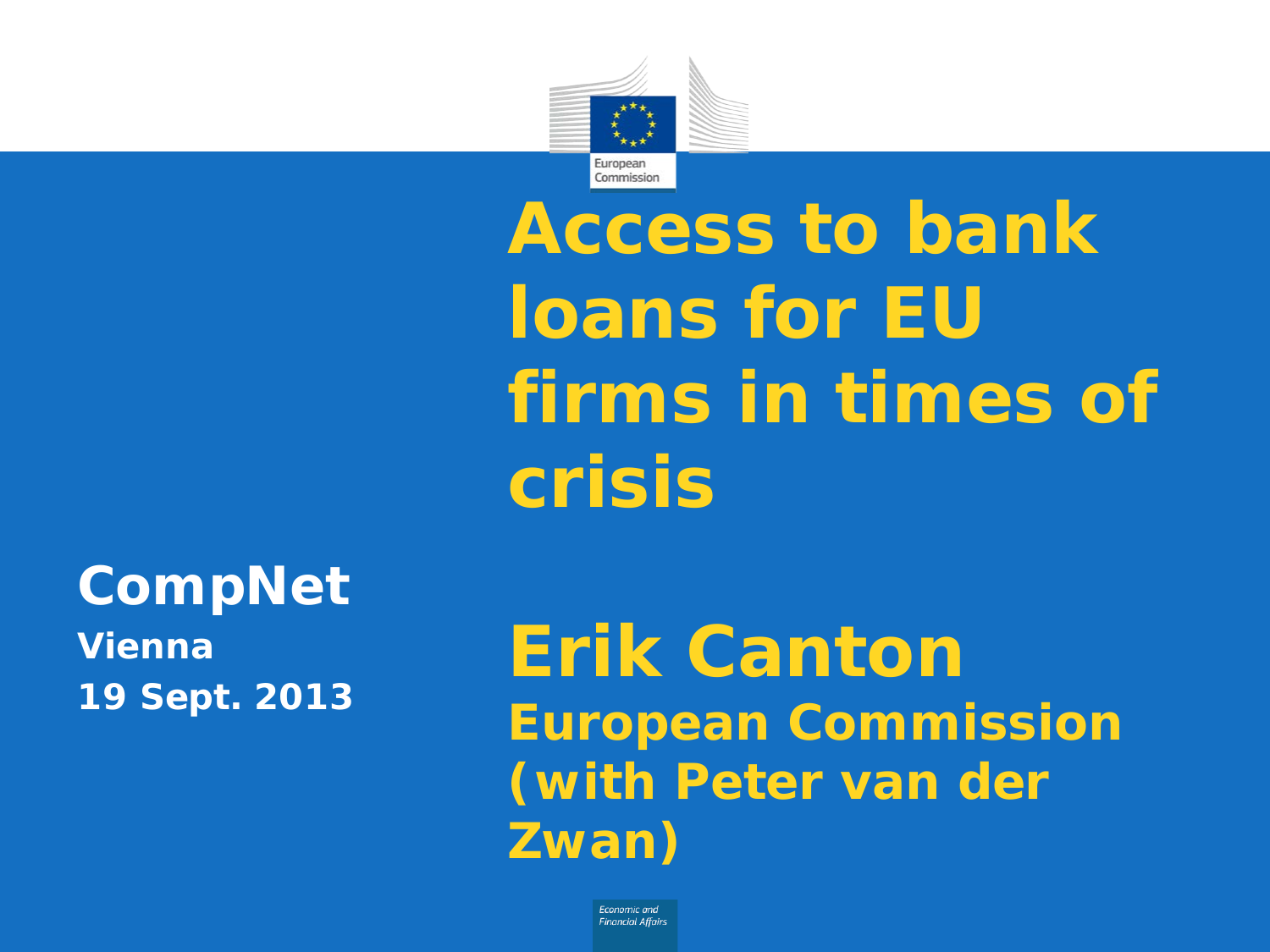

**Access to bank loans for EU firms in times of crisis**

## **CompNet**

**Vienna 19 Sept. 2013**

## **Erik Canton European Commission (with Peter van der Zwan)**

**Fronomic and Financial Affairs**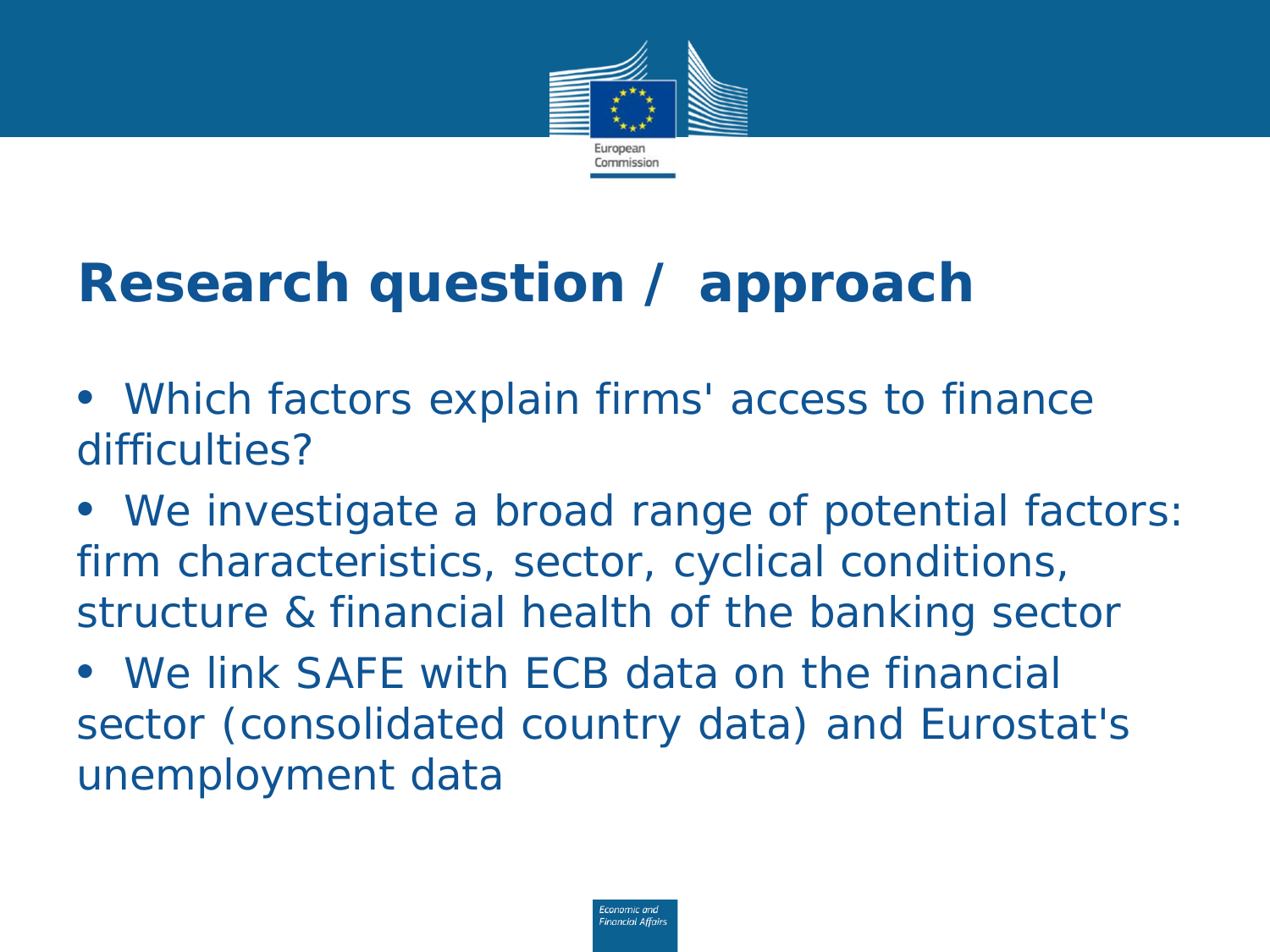

## **Research question / approach**

- *Which factors explain firms' access to finance difficulties?*
- *We investigate a broad range of potential factors: firm characteristics, sector, cyclical conditions, structure & financial health of the banking sector*
- *We link SAFE with ECB data on the financial sector (consolidated country data) and Eurostat's unemployment data*

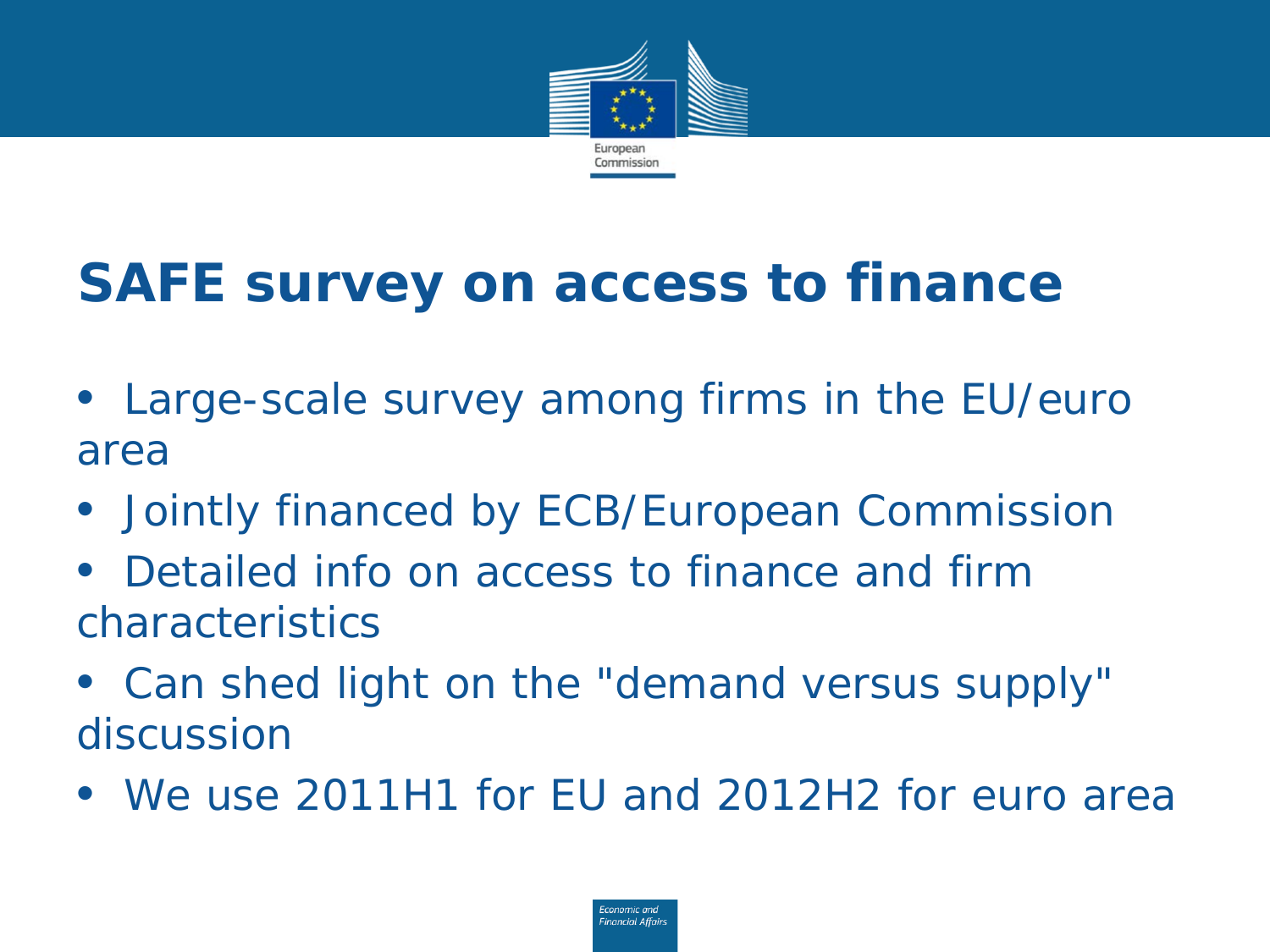

## **SAFE survey on access to finance**

- *Large-scale survey among firms in the EU/euro area*
- *Jointly financed by ECB/European Commission*
- *Detailed info on access to finance and firm characteristics*
- *Can shed light on the "demand versus supply" discussion*
- *We use 2011H1 for EU and 2012H2 for euro area*

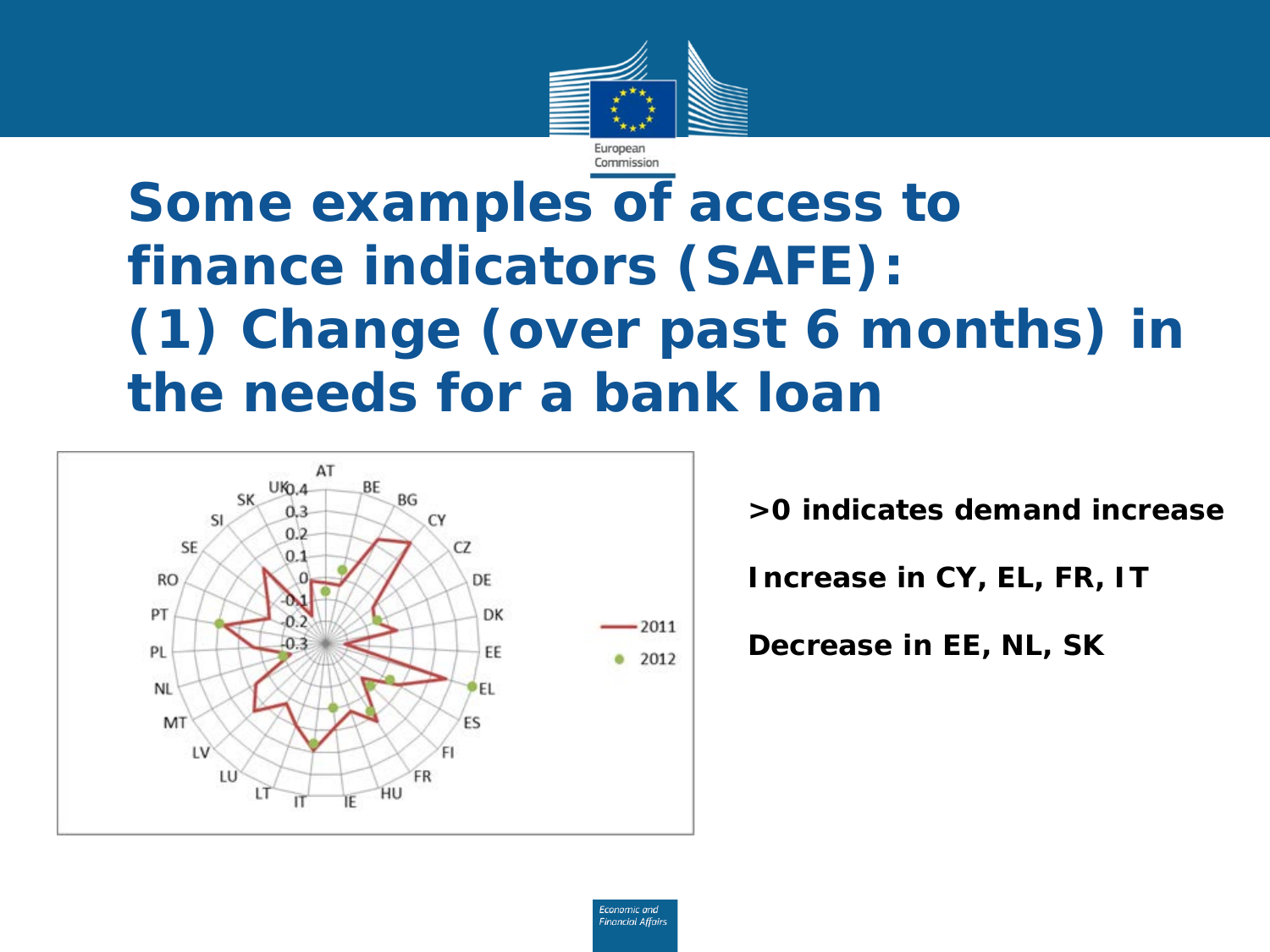

### **Some examples of access to finance indicators (SAFE): (1) Change (over past 6 months) in the needs for a bank loan**



**>0 indicates demand increase**

**Increase in CY, EL, FR, IT**

**Decrease in EE, NL, SK** 

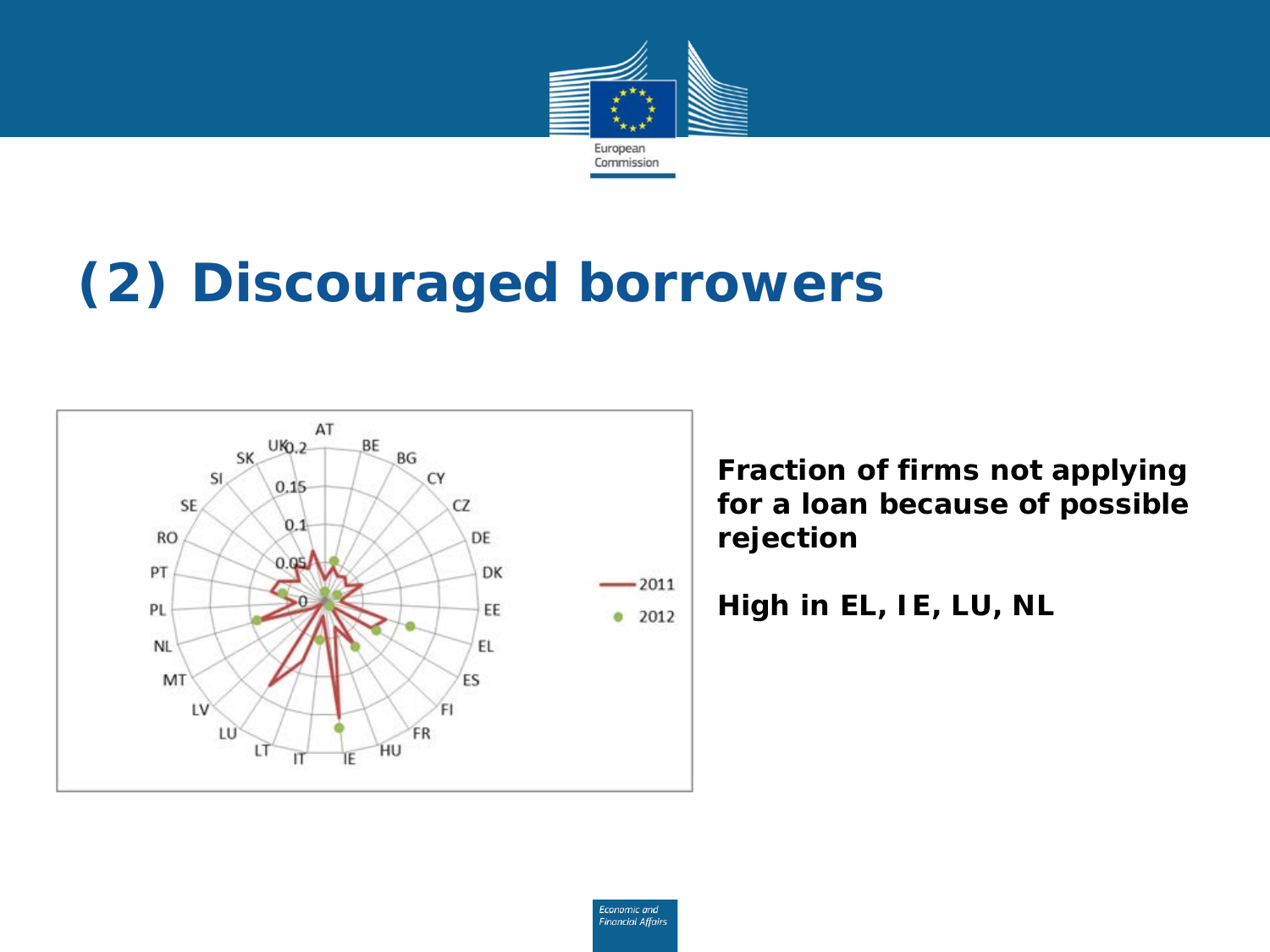

## **(2) Discouraged borrowers**



**Fraction of firms not applying for a loan because of possible rejection**

**High in EL, IE, LU, NL**

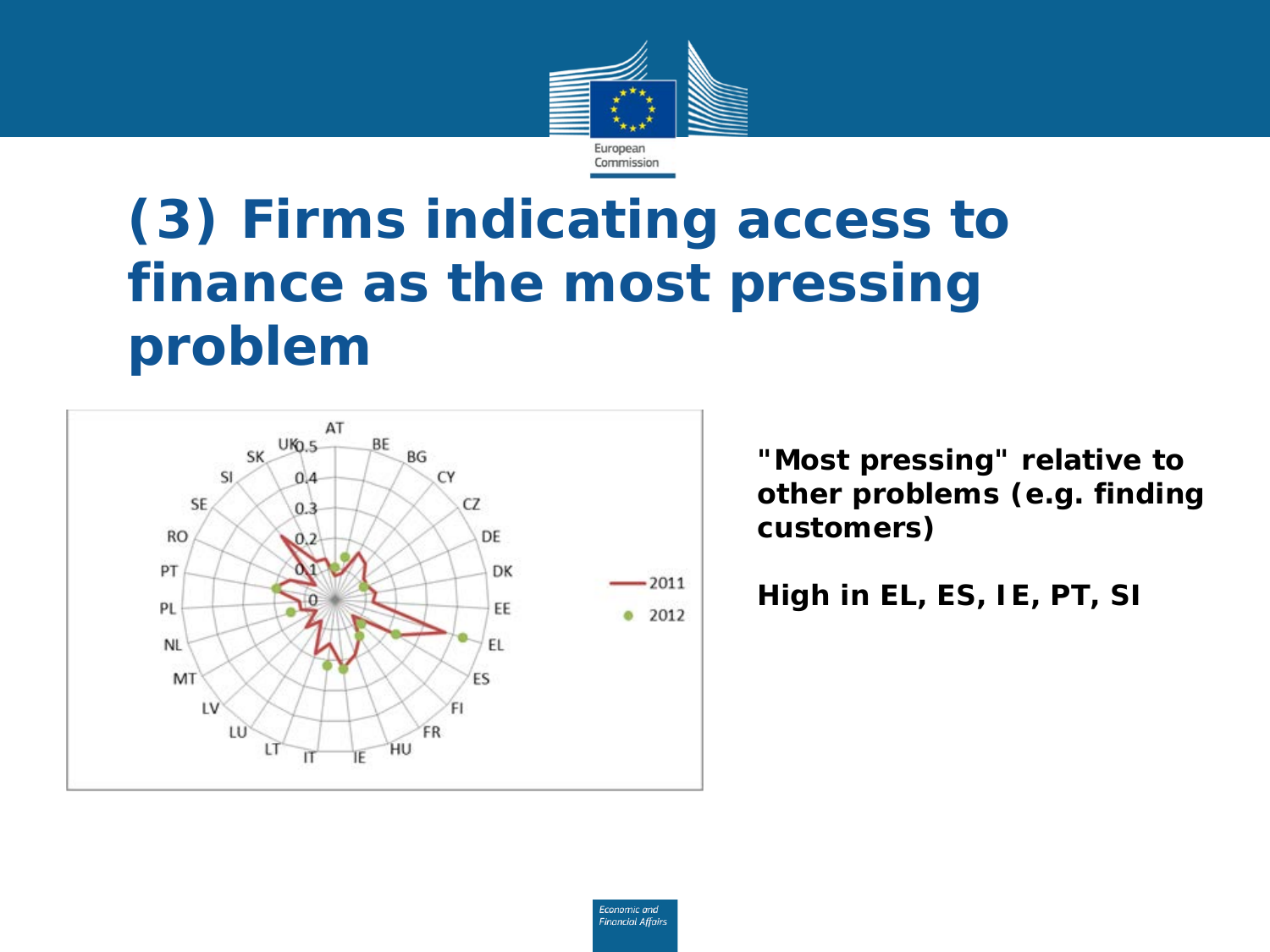

### **(3) Firms indicating access to finance as the most pressing problem**



**"Most pressing" relative to other problems (e.g. finding customers)**

**High in EL, ES, IE, PT, SI** 

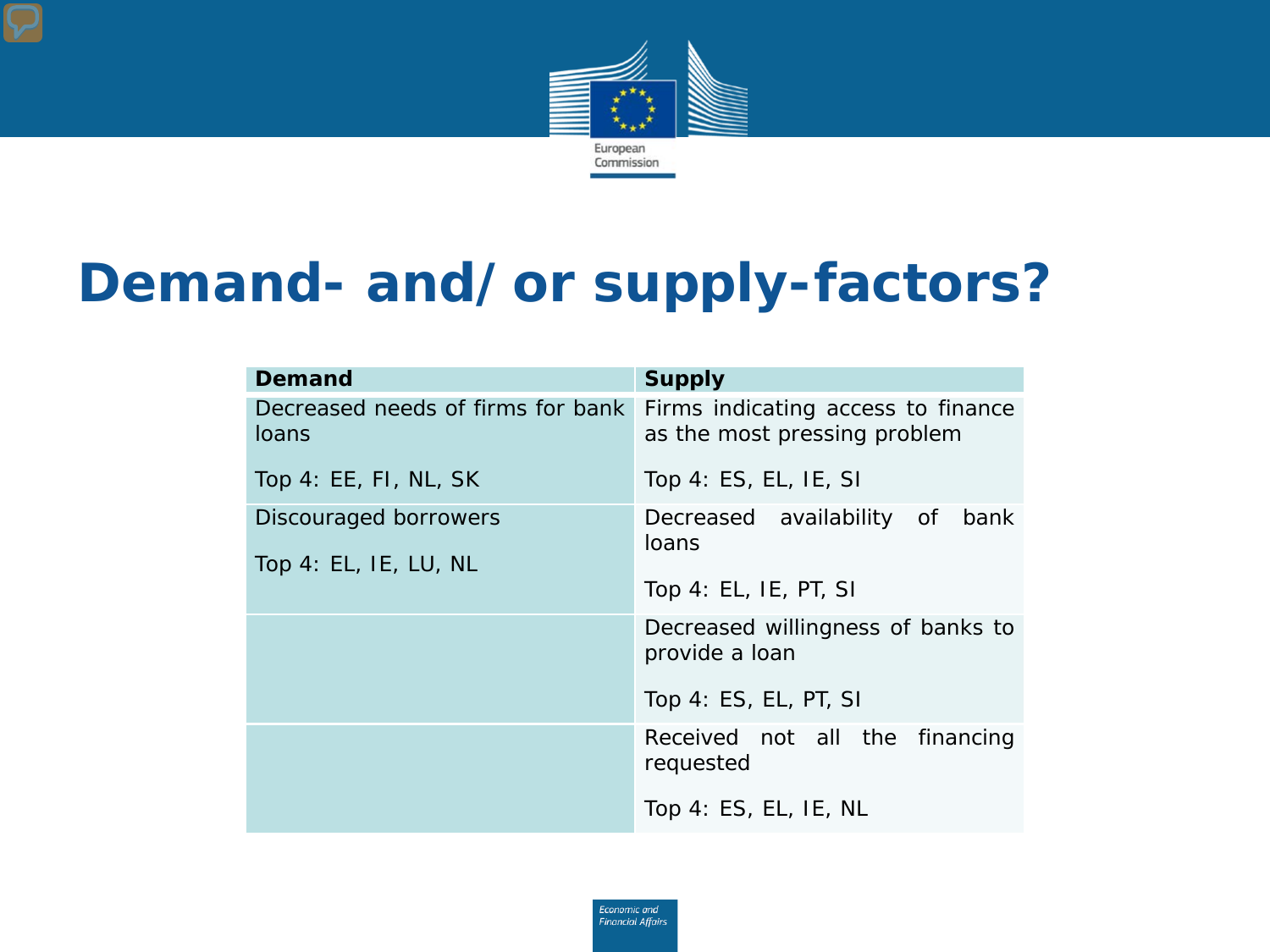

#### **Demand- and/or supply-factors?**

| <b>Demand</b>                              | <b>Supply</b>                                                      |  |
|--------------------------------------------|--------------------------------------------------------------------|--|
| Decreased needs of firms for bank<br>loans | Firms indicating access to finance<br>as the most pressing problem |  |
| Top 4: EE, FI, NL, SK                      | Top 4: ES, EL, IE, SI                                              |  |
| Discouraged borrowers                      | Decreased availability of bank                                     |  |
| Top 4: EL, IE, LU, NL                      | loans                                                              |  |
|                                            | Top 4: EL, IE, PT, SI                                              |  |
|                                            | Decreased willingness of banks to<br>provide a loan                |  |
|                                            | Top 4: ES, EL, PT, SI                                              |  |
|                                            | Received not all the financing<br>requested                        |  |
|                                            | Top 4: ES, EL, IE, NL                                              |  |

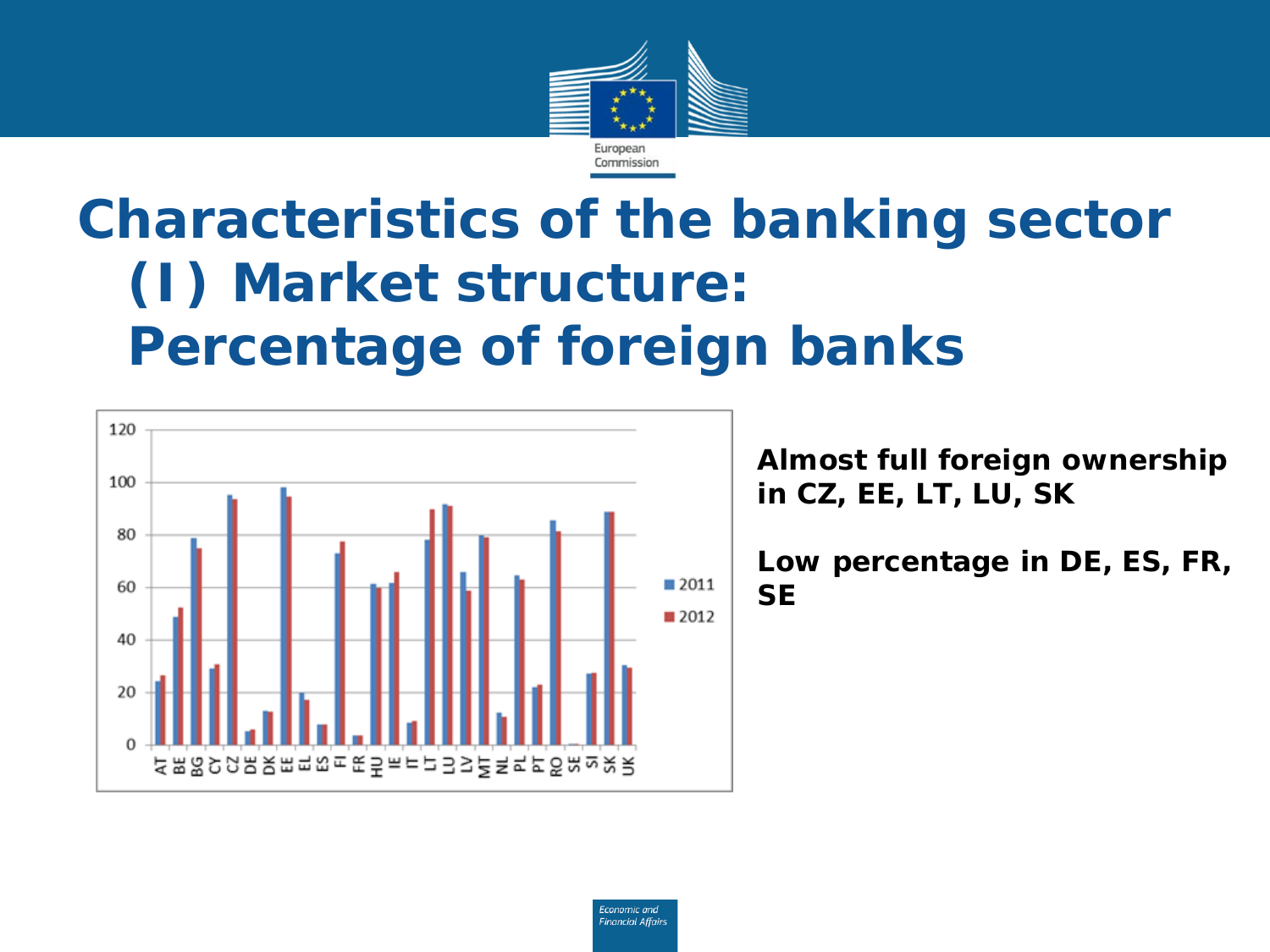

### **Characteristics of the banking sector (I) Market structure: Percentage of foreign banks**



**Almost full foreign ownership in CZ, EE, LT, LU, SK**

**Low percentage in DE, ES, FR, SE**

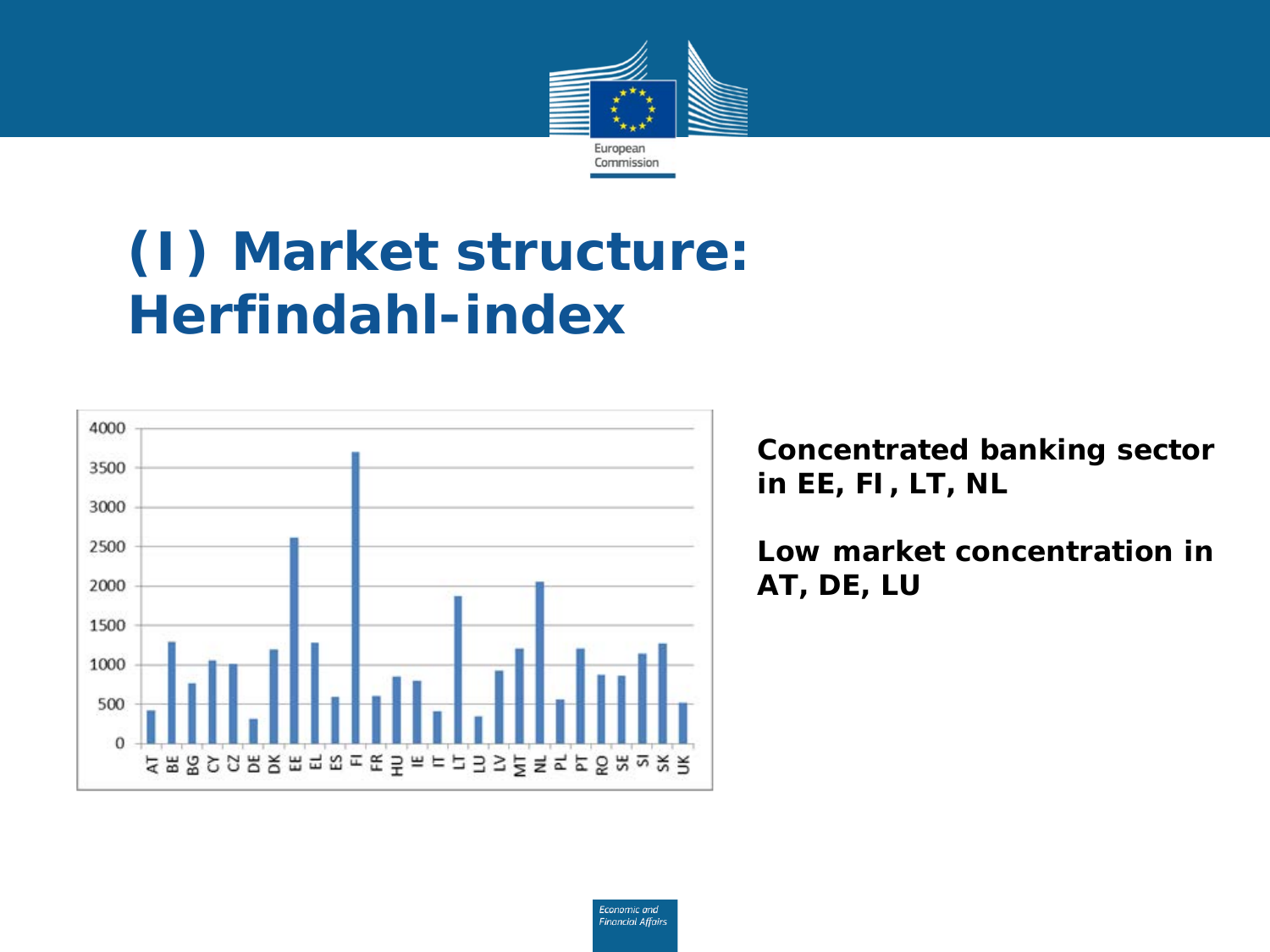

### **(I) Market structure: Herfindahl-index**



**Concentrated banking sector in EE, FI, LT, NL**

**Low market concentration in AT, DE, LU**

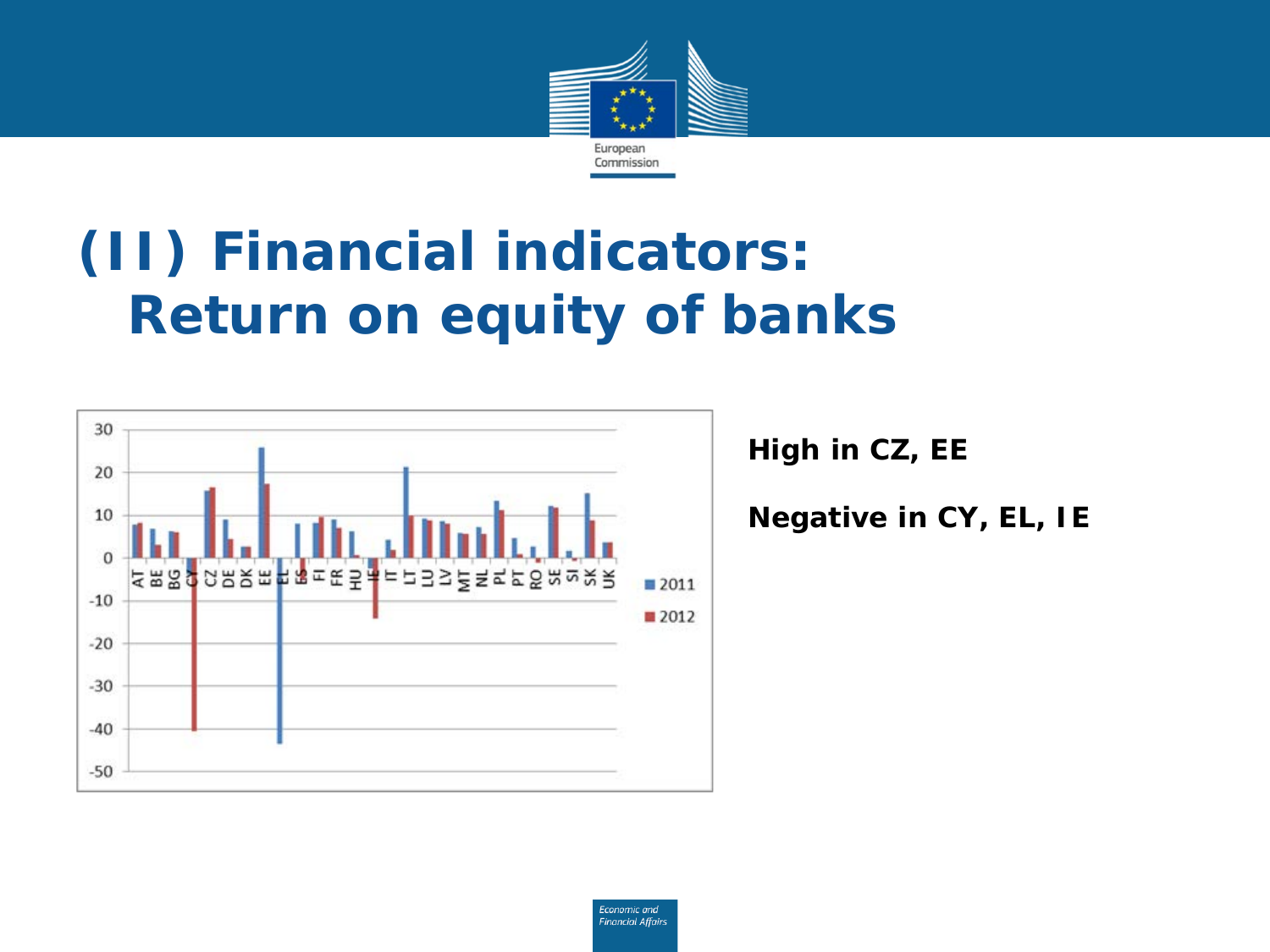

### **(II) Financial indicators: Return on equity of banks**



**High in CZ, EE**

**Negative in CY, EL, IE**

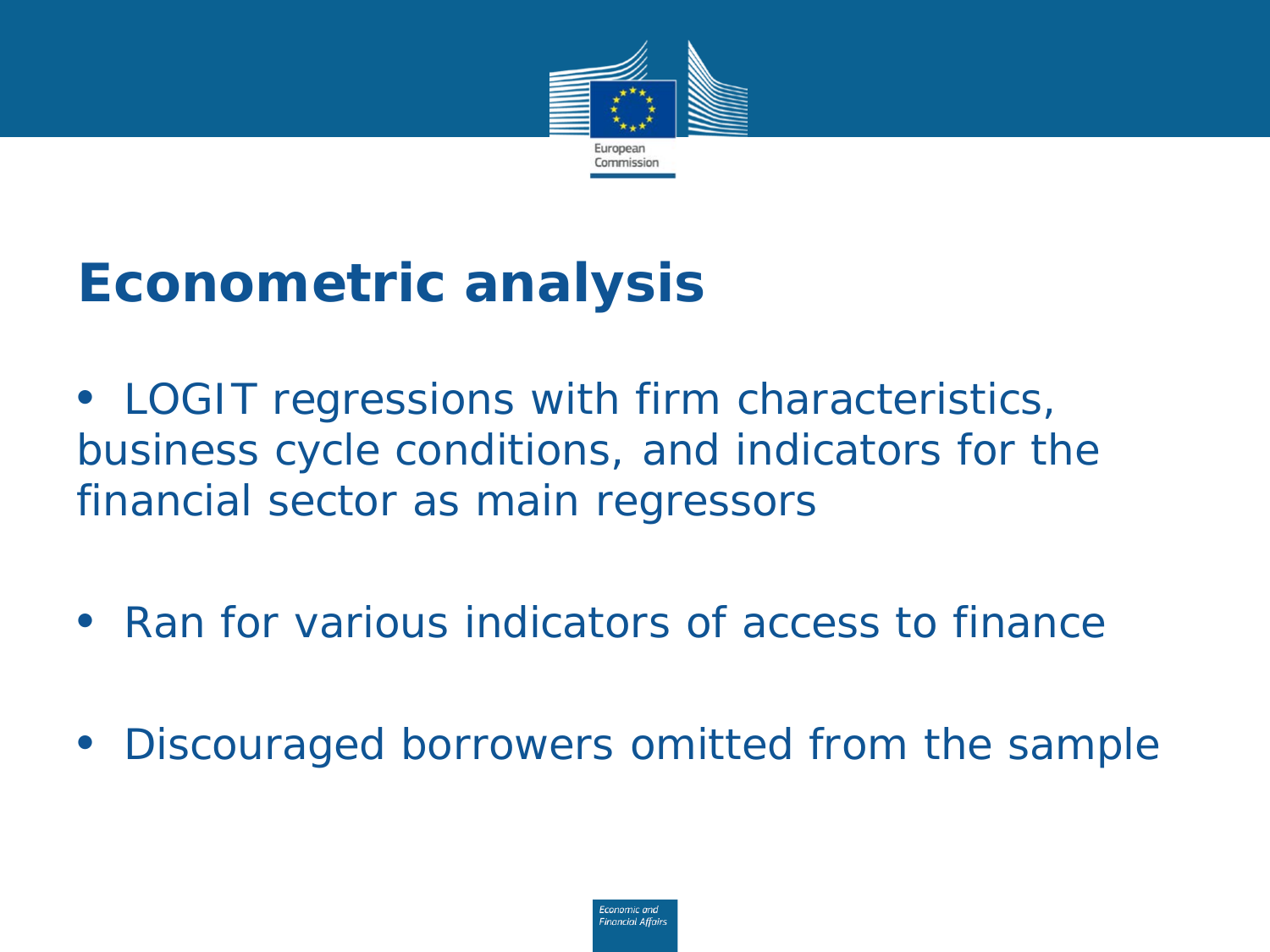

## **Econometric analysis**

• *LOGIT regressions with firm characteristics, business cycle conditions, and indicators for the financial sector as main regressors*

• *Ran for various indicators of access to finance*

• *Discouraged borrowers omitted from the sample*

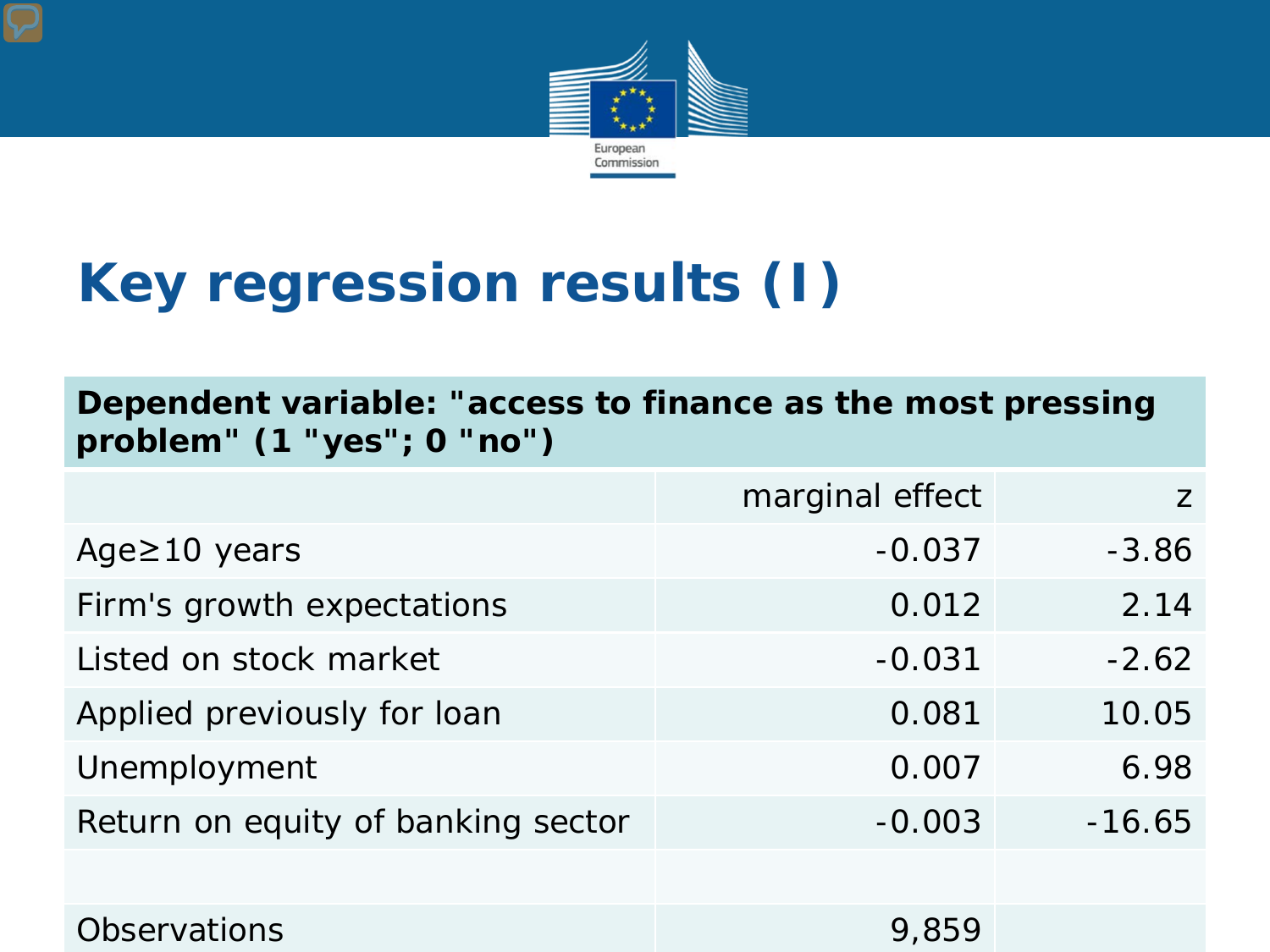

## **Key regression results (I)**

**Dependent variable: "access to finance as the most pressing problem" (1 "yes"; 0 "no")**

|                                    | marginal effect | 7        |
|------------------------------------|-----------------|----------|
| Age $\geq$ 10 years                | $-0.037$        | $-3.86$  |
| Firm's growth expectations         | 0.012           | 2.14     |
| Listed on stock market             | $-0.031$        | $-2.62$  |
| Applied previously for loan        | 0.081           | 10.05    |
| Unemployment                       | 0.007           | 6.98     |
| Return on equity of banking sector | $-0.003$        | $-16.65$ |
|                                    |                 |          |
| <b>Observations</b>                | 9,859           |          |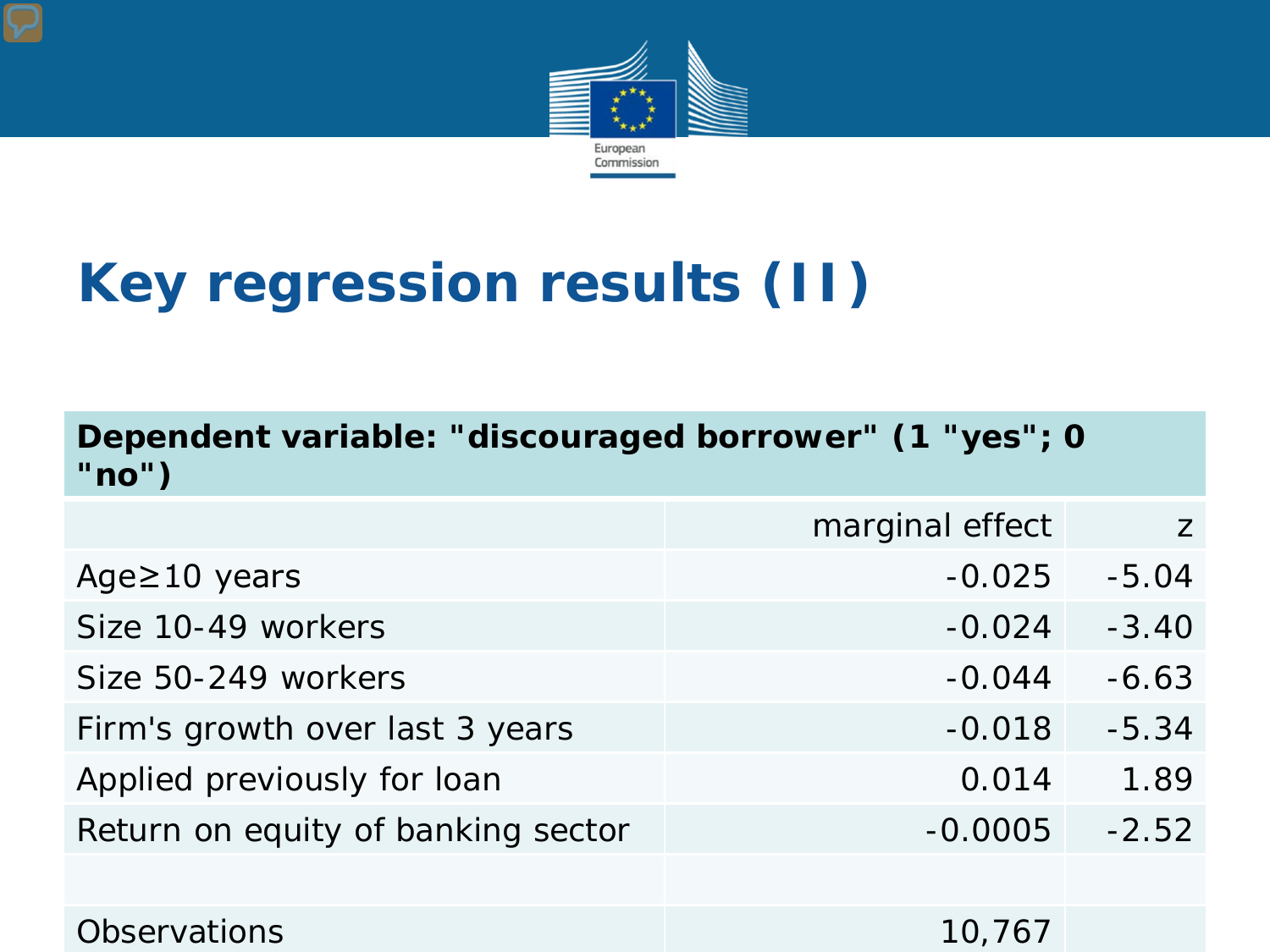

# **Key regression results (II)**

| Dependent variable: "discouraged borrower" (1 "yes"; 0<br>" $no"$ |                 |         |  |
|-------------------------------------------------------------------|-----------------|---------|--|
|                                                                   | marginal effect | Z       |  |
| Age $\geq$ 10 years                                               | $-0.025$        | $-5.04$ |  |
| Size 10-49 workers                                                | $-0.024$        | $-3.40$ |  |
| Size 50-249 workers                                               | $-0.044$        | $-6.63$ |  |
| Firm's growth over last 3 years                                   | $-0.018$        | $-5.34$ |  |
| Applied previously for loan                                       | 0.014           | 1.89    |  |
| Return on equity of banking sector                                | $-0.0005$       | $-2.52$ |  |
|                                                                   |                 |         |  |
| <b>Observations</b>                                               | 10,767          |         |  |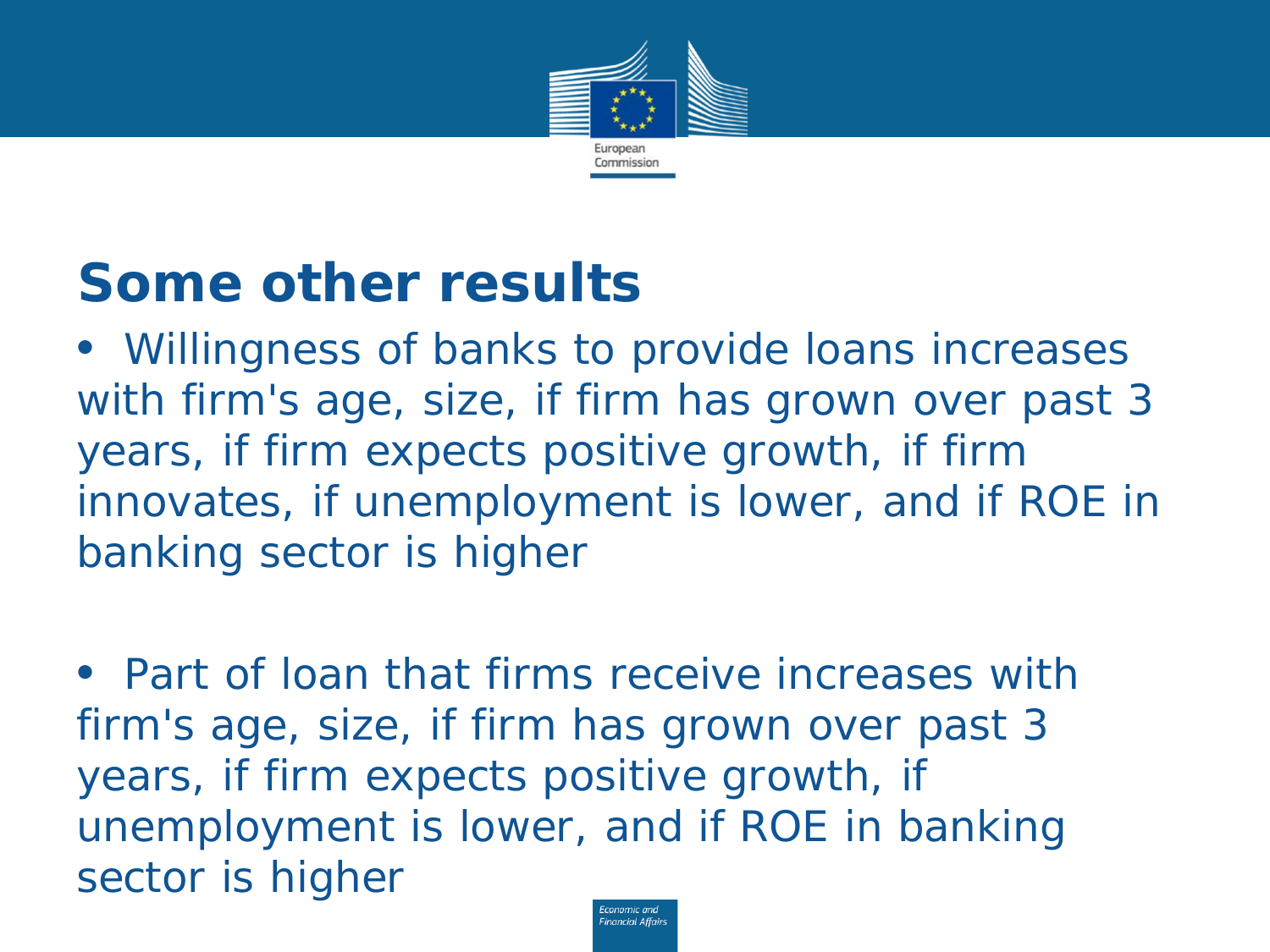

#### **Some other results**

• *Willingness of banks to provide loans increases with firm's age, size, if firm has grown over past 3 years, if firm expects positive growth, if firm innovates, if unemployment is lower, and if ROE in banking sector is higher*

• *Part of loan that firms receive increases with firm's age, size, if firm has grown over past 3 years, if firm expects positive growth, if unemployment is lower, and if ROE in banking sector is higher*